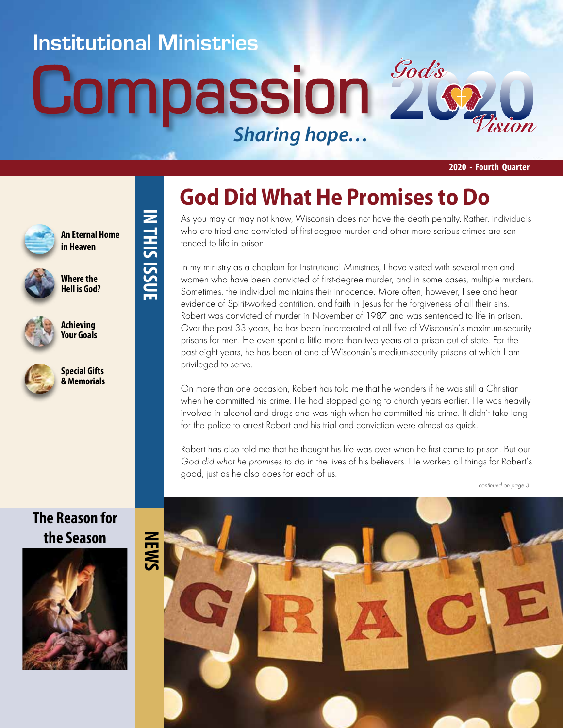### **Institutional Ministries**

**IN THIS ISSUE**

IN THIS ISSUE

# **Compassion 2** *Sharing hope…*



**2020 - Fourth Quarter**



**Where the Hell is God?**

**An Eternal Home in Heaven**



**Achieving Your Goals**



### **Special Gifts & Memorials**

### **The Reason for the Season**



# **God Did What He Promises to Do**

As you may or may not know, Wisconsin does not have the death penalty. Rather, individuals who are tried and convicted of first-degree murder and other more serious crimes are sentenced to life in prison.

In my ministry as a chaplain for Institutional Ministries, I have visited with several men and women who have been convicted of first-degree murder, and in some cases, multiple murders. Sometimes, the individual maintains their innocence. More often, however, I see and hear evidence of Spirit-worked contrition, and faith in Jesus for the forgiveness of all their sins. Robert was convicted of murder in November of 1987 and was sentenced to life in prison. Over the past 33 years, he has been incarcerated at all five of Wisconsin's maximum-security prisons for men. He even spent a little more than two years at a prison out of state. For the past eight years, he has been at one of Wisconsin's medium-security prisons at which I am privileged to serve.

On more than one occasion, Robert has told me that he wonders if he was still a Christian when he committed his crime. He had stopped going to church years earlier. He was heavily involved in alcohol and drugs and was high when he committed his crime. It didn't take long for the police to arrest Robert and his trial and conviction were almost as quick.

Robert has also told me that he thought his life was over when he first came to prison. But our God did what he promises to do in the lives of his believers. He worked all things for Robert's good, just as he also does for each of us.



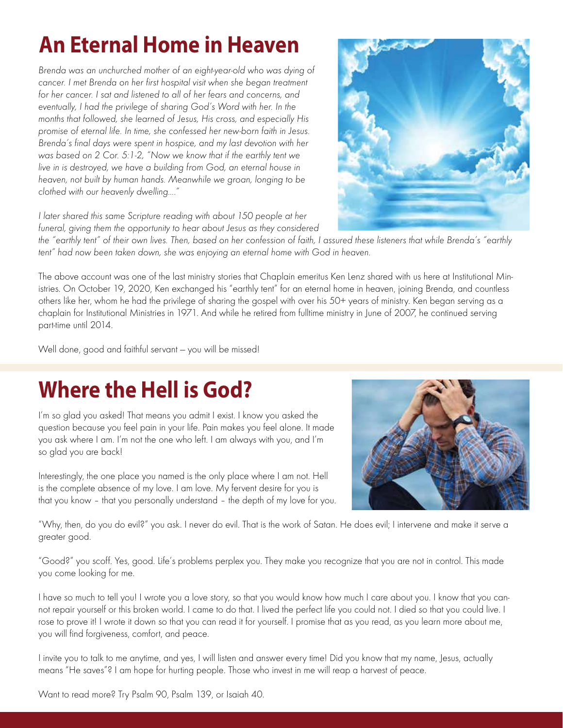# **An Eternal Home in Heaven**

Brenda was an unchurched mother of an eight-year-old who was dying of cancer. I met Brenda on her first hospital visit when she began treatment for her cancer. I sat and listened to all of her fears and concerns, and eventually, I had the privilege of sharing God's Word with her. In the months that followed, she learned of Jesus, His cross, and especially His promise of eternal life. In time, she confessed her new-born faith in Jesus. Brenda's final days were spent in hospice, and my last devotion with her was based on 2 Cor. 5:1-2, "Now we know that if the earthly tent we live in is destroyed, we have a building from God, an eternal house in heaven, not built by human hands. Meanwhile we groan, longing to be clothed with our heavenly dwelling…."



I later shared this same Scripture reading with about 150 people at her funeral, giving them the opportunity to hear about Jesus as they considered

the "earthly tent" of their own lives. Then, based on her confession of faith, I assured these listeners that while Brenda's "earthly tent" had now been taken down, she was enjoying an eternal home with God in heaven.

The above account was one of the last ministry stories that Chaplain emeritus Ken Lenz shared with us here at Institutional Ministries. On October 19, 2020, Ken exchanged his "earthly tent" for an eternal home in heaven, joining Brenda, and countless others like her, whom he had the privilege of sharing the gospel with over his 50+ years of ministry. Ken began serving as a chaplain for Institutional Ministries in 1971. And while he retired from fulltime ministry in June of 2007, he continued serving part-time until 2014.

Well done, good and faithful servant — you will be missed!

## **Where the Hell is God?**

I'm so glad you asked! That means you admit I exist. I know you asked the question because you feel pain in your life. Pain makes you feel alone. It made you ask where I am. I'm not the one who left. I am always with you, and I'm so glad you are back!

Interestingly, the one place you named is the only place where I am not. Hell is the complete absence of my love. I am love. My fervent desire for you is that you know – that you personally understand – the depth of my love for you.



"Why, then, do you do evil?" you ask. I never do evil. That is the work of Satan. He does evil; I intervene and make it serve a greater good.

"Good?" you scoff. Yes, good. Life's problems perplex you. They make you recognize that you are not in control. This made you come looking for me.

I have so much to tell you! I wrote you a love story, so that you would know how much I care about you. I know that you cannot repair yourself or this broken world. I came to do that. I lived the perfect life you could not. I died so that you could live. I rose to prove it! I wrote it down so that you can read it for yourself. I promise that as you read, as you learn more about me, you will find forgiveness, comfort, and peace.

I invite you to talk to me anytime, and yes, I will listen and answer every time! Did you know that my name, Jesus, actually means "He saves"? I am hope for hurting people. Those who invest in me will reap a harvest of peace.

Want to read more? Try Psalm 90, Psalm 139, or Isaiah 40.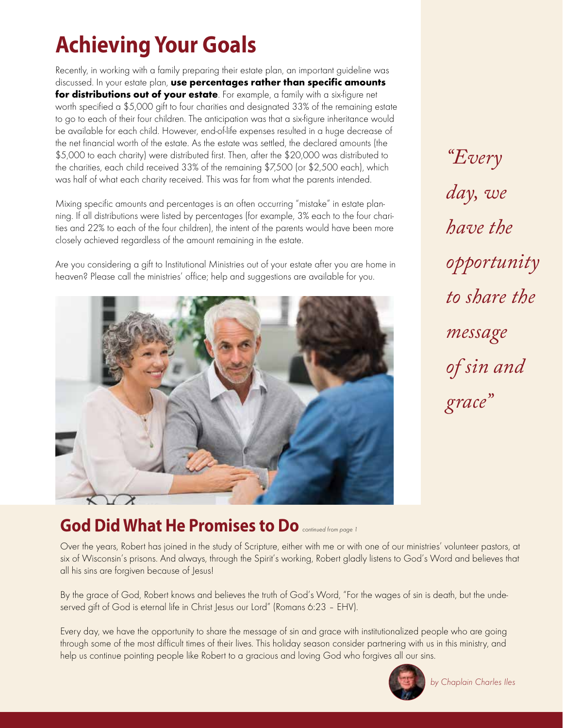# **Achieving Your Goals**

Recently, in working with a family preparing their estate plan, an important guideline was discussed. In your estate plan, use percentages rather than specific amounts for distributions out of your estate. For example, a family with a six-figure net worth specified a \$5,000 gift to four charities and designated 33% of the remaining estate to go to each of their four children. The anticipation was that a six-figure inheritance would be available for each child. However, end-of-life expenses resulted in a huge decrease of the net financial worth of the estate. As the estate was settled, the declared amounts (the \$5,000 to each charity) were distributed first. Then, after the \$20,000 was distributed to the charities, each child received 33% of the remaining \$7,500 (or \$2,500 each), which was half of what each charity received. This was far from what the parents intended.

Mixing specific amounts and percentages is an often occurring "mistake" in estate planning. If all distributions were listed by percentages (for example, 3% each to the four charities and 22% to each of the four children), the intent of the parents would have been more closely achieved regardless of the amount remaining in the estate.

Are you considering a gift to Institutional Ministries out of your estate after you are home in heaven? Please call the ministries' office; help and suggestions are available for you.



*"Every day, we have the opportunity to share the message of sin and grace"*

### God Did What He Promises to Do **continued from page 1**

Over the years, Robert has joined in the study of Scripture, either with me or with one of our ministries' volunteer pastors, at six of Wisconsin's prisons. And always, through the Spirit's working, Robert gladly listens to God's Word and believes that all his sins are forgiven because of Jesus!

By the grace of God, Robert knows and believes the truth of God's Word, "For the wages of sin is death, but the undeserved gift of God is eternal life in Christ Jesus our Lord" (Romans 6:23 – EHV).

Every day, we have the opportunity to share the message of sin and grace with institutionalized people who are going through some of the most difficult times of their lives. This holiday season consider partnering with us in this ministry, and help us continue pointing people like Robert to a gracious and loving God who forgives all our sins.